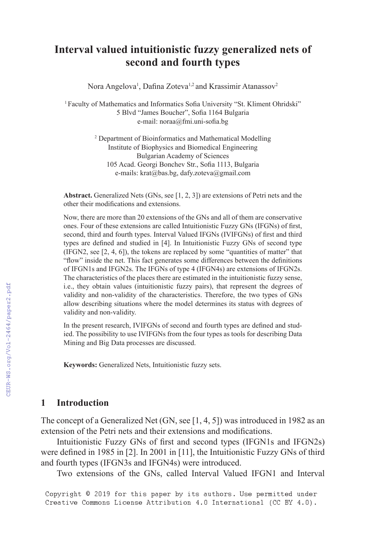# **Interval valued intuitionistic fuzzy generalized nets of second and fourth types**

Nora Angelova<sup>1</sup>, Dafina Zoteva<sup>1,2</sup> and Krassimir Atanassov<sup>2</sup>

<sup>1</sup> Faculty of Mathematics and Informatics Sofia University "St. Kliment Ohridski" 5 Blvd "James Boucher", Sofia 1164 Bulgaria e-mail: noraa@fmi.uni-sofia.bg

> 2 Department of Bioinformatics and Mathematical Modelling Institute of Biophysics and Biomedical Engineering Bulgarian Academy of Sciences 105 Acad. Georgi Bonchev Str., Sofia 1113, Bulgaria e-mails: krat@bas.bg, dafy.zoteva@gmail.com

**Abstract.** Generalized Nets (GNs, see [1, 2, 3]) are extensions of Petri nets and the other their modifications and extensions.

Now, there are more than 20 extensions of the GNs and all of them are conservative ones. Four of these extensions are called Intuitionistic Fuzzy GNs (IFGNs) of first, second, third and fourth types. Interval Valued IFGNs (IVIFGNs) of first and third types are defined and studied in [4]. In Intuitionistic Fuzzy GNs of second type (IFGN2, see [2, 4, 6]), the tokens are replaced by some "quantities of matter" that "flow" inside the net. This fact generates some differences between the definitions of IFGN1s and IFGN2s. The IFGNs of type 4 (IFGN4s) are extensions of IFGN2s. Тhe characteristics of the places there are estimated in the intuitionistic fuzzy sense, i.e., they obtain values (intuitionistic fuzzy pairs), that represent the degrees of validity and non-validity of the characteristics. Therefore, the two types of GNs allow describing situations where the model determines its status with degrees of validity and non-validity.

In the present research, IVIFGNs of second and fourth types are defined and studied. The possibility to use IVIFGNs from the four types as tools for describing Data Mining and Big Data processes are discussed.

**Keywords:** Generalized Nets, Intuitionistic fuzzy sets.

### **1 Introduction**

The concept of a Generalized Net (GN, see [1, 4, 5]) was introduced in 1982 as an extension of the Petri nets and their extensions and modifications.

Intuitionistic Fuzzy GNs of first and second types (IFGN1s and IFGN2s) were defined in 1985 in  $[2]$ . In 2001 in  $[11]$ , the Intuitionistic Fuzzy GNs of third and fourth types (IFGN3s and IFGN4s) were introduced.

Two extensions of the GNs, called Interval Valued IFGN1 and Interval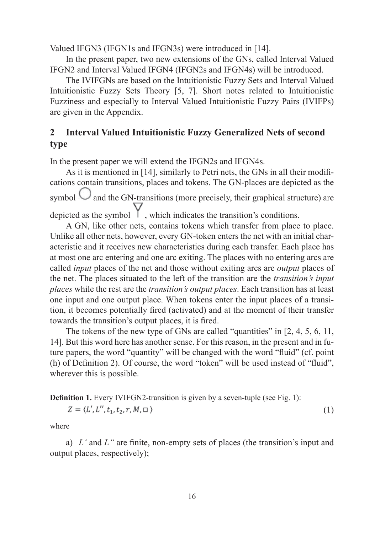Valued IFGN3 (IFGN1s and IFGN3s) were introduced in [14].

In the present paper, two new extensions of the GNs, called Interval Valued IFGN2 and Interval Valued IFGN4 (IFGN2s and IFGN4s) will be introduced.

The IVIFGNs are based on the Intuitionistic Fuzzy Sets and Interval Valued Intuitionistic Fuzzy Sets Theory [5, 7]. Short notes related to Intuitionistic Fuzziness and especially to Interval Valued Intuitionistic Fuzzy Pairs (IVIFPs) are given in the Appendix.

## **2 Interval Valued Intuitionistic Fuzzy Generalized Nets of second type**

In the present paper we will extend the IFGN2s and IFGN4s.

As it is mentioned in [14], similarly to Petri nets, the GNs in all their modifications contain transitions, places and tokens. The GN-places are depicted as the symbol  $\bigcup$  and the GN-transitions (more precisely, their graphical structure) are depicted as the symbol  $\parallel$ , which indicates the transition's conditions.

A GN, like other nets, contains tokens which transfer from place to place. Unlike all other nets, however, every GN-token enters the net with an initial characteristic and it receives new characteristics during each transfer. Each place has at most one arc entering and one arc exiting. The places with no entering arcs are called *input* places of the net and those without exiting arcs are *output* places of the net. The places situated to the left of the transition are the *transition's input places* while the rest are the *transition's output places*. Each transition has at least one input and one output place. When tokens enter the input places of a transition, it becomes potentially fired (activated) and at the moment of their transfer towards the transition's output places, it is fired.

The tokens of the new type of GNs are called "quantities" in [2, 4, 5, 6, 11, 14]. But this word here has another sense. For this reason, in the present and in future papers, the word "quantity" will be changed with the word "fluid" (cf. point  $(h)$  of Definition 2). Of course, the word "token" will be used instead of "fluid". wherever this is possible.

**Definition 1.** Every IVIFGN2-transition is given by a seven-tuple (see Fig. 1):

$$
Z = \langle L', L'', t_1, t_2, r, M, \square \rangle \tag{1}
$$

where

a)  $L^*$  and  $L^*$  are finite, non-empty sets of places (the transition's input and output places, respectively);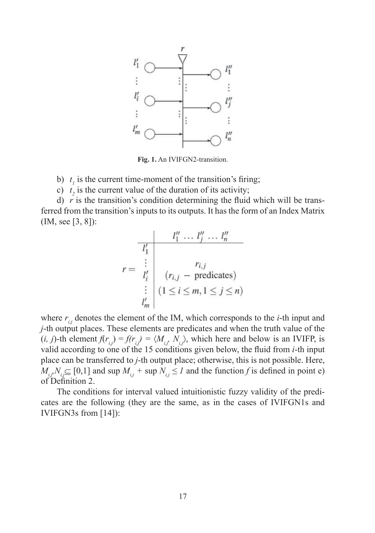

**Fig. 1.** An IVIFGN2-transition.

b)  $t_1$  is the current time-moment of the transition's firing;

c)  $t_2$  is the current value of the duration of its activity;

d)  $r$  is the transition's condition determining the fluid which will be transferred from the transition's inputs to its outputs. It has the form of an Index Matrix (IM, see [3, 8]):

$$
r = \begin{array}{c|c} & l_1'' & \dots & l_j'' & \dots & l_n'' \\ \hline l_1' & & & & & \\ \vdots & & & & & \\ l_i' & (r_{i,j} - predicates) & & & \\ \vdots & & & & \\ l_m' & & & & \\ \end{array}
$$

where  $r_{i,j}$  denotes the element of the IM, which corresponds to the *i*-th input and *j*-th output places. These elements are predicates and when the truth value of the  $(i, j)$ -th element  $f(r_{i,j}) = f(r_{i,j}) = \langle M_{i,j}, N_{i,j} \rangle$ , which here and below is an IVIFP, is valid according to one of the 15 conditions given below, the fluid from *i*-th input place can be transferred to *j*-th output place; otherwise, this is not possible. Here,  $M_{i,j}N_{i,j} \subseteq [0,1]$  and sup  $M_{i,j}$  + sup  $N_{i,j} \leq I$  and the function *f* is defined in point e) of Definition 2.

The conditions for interval valued intuitionistic fuzzy validity of the predicates are the following (they are the same, as in the cases of IVIFGN1s and IVIFGN3s from [14]):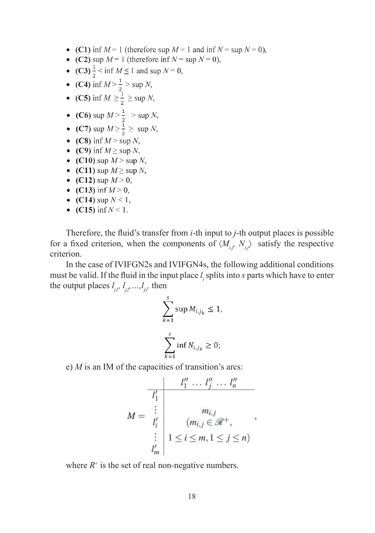- (C1) inf  $M = 1$  (therefore sup  $M = 1$  and inf  $N = \sup N = 0$ ),
- (C2) sup  $M = 1$  (therefore inf  $N = \sup N = 0$ ),
- (C3)  $\frac{1}{2}$  < inf  $M \le 1$  and sup  $N = 0$ ,
- 
- (C4) inf  $M > \frac{1}{2} > \sup N$ ,<br>
 (C5) inf  $M \ge \frac{1}{2} \ge \sup N$ ,
- (C6) sup  $M > \frac{1}{2} > \sup N$ ,
- (C7) sup  $M \ge \frac{1}{2}$   $\ge$  sup N,
- (C8) inf  $M > \sup N$ ,
- (C9) inf  $M \geq$  sup N,
- (C10) sup  $M > \sup N$ ,
- (C11) sup  $M \geq \sup N$ ,
- (C12) sup  $M > 0$ ,
- (C13) inf  $M > 0$ ,
- (C14) sup  $N < 1$ ,
- (C15) inf  $N < 1$ .

Therefore, the fluid's transfer from *i*-th input to *j*-th output places is possible for a fixed criterion, when the components of  $\langle M_{i,j}, N_{i,j} \rangle$  satisfy the respective criterion.

In the case of IVIFGN2s and IVIFGN4s, the following additional conditions must be valid. If the fluid in the input place  $l_i$  splits into *s* parts which have to enter the output places  $l_{j1}, l_{j2},...,l_{js}$ , then

$$
\sum_{k=1}^{s} \sup M_{i,j_k} \le 1,
$$
  

$$
\sum_{k=1}^{s} \inf N_{i,j_k} \ge 0;
$$

e) *M* is an IM of the capacities of transition's arcs:

$$
M = \begin{array}{c|c} & l_1'' & \dots & l_j'' & \dots & l_n'' \\ \hline l_1' & & & & \\ \vdots & & & & \\ l_i' & & & \\ \vdots & & & \\ l_1 \leq i \leq m, 1 \leq j \leq n) \\ l_m' & & & \end{array},
$$

where  $R^+$  is the set of real non-negative numbers.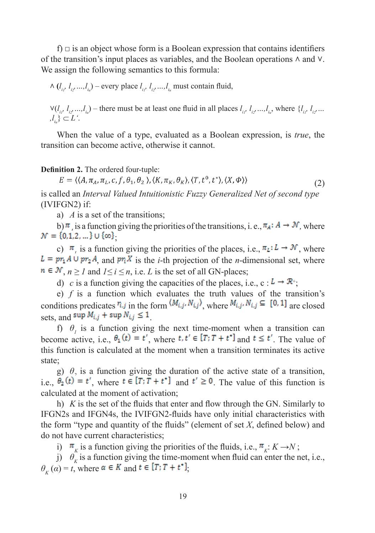f)  $\Box$  is an object whose form is a Boolean expression that contains identifiers of the transition's input places as variables, and the Boolean operations  $\land$  and  $\lor$ . We assign the following semantics to this formula:

 $\wedge$  (*l*<sub>*i<sub>1</sub>*</sub>, *l*<sub>*i*<sub>2</sub></sub>, ...,*l*<sub>*i*<sub>*l*</sub></sup>,  $l$ <sup>*i*</sup><sub>*l*</sub>, *l*<sub>*i*<sub>*l*</sub></sub>, *l*<sub>*i*<sub>*l*</sub></sub>, ...,*l*<sub>*i*<sub>*l*</sub></sup> must contain fluid,</sub></sub>

 $V(l_{i1}, l_{i2},...,l_{iu})$  – there must be at least one fluid in all places  $l_{i1}, l_{i2},...,l_{iu}$ , where  $\{l_{i1}, l_{i2},...$  $, l_{i_u} \} \subset L$ '.

When the value of a type, evaluated as a Boolean expression, is *true*, the transition can become active, otherwise it cannot.

#### **Definition 2.** The ordered four-tuple:

 $E = \langle (A, \pi_A, \pi_L, c, f, \theta_1, \theta_2), (K, \pi_K, \theta_K), (T, t^0, t^*) \rangle, (X, \Phi) \rangle$ (2)

is called an *Interval Valued Intuitionistic Fuzzy Generalized Net of second type*  (IVIFGN2) if:

a) *A* is a set of the transitions;

b)  $\pi$ , is a function giving the priorities of the transitions, i. e.,  $\pi_A$ :  $A \to \mathcal{N}$ , where  $\mathcal{N} = \{0, 1, 2, ...\} \cup \{\infty\}$ 

c)  $\pi$ , is a function giving the priorities of the places, i.e.,  $\pi$ <sub>*L*</sub>:  $L \rightarrow \mathcal{N}$ , where  $L = pr_1 A \cup pr_2 A$ , and  $pr_i X$  is the *i*-th projection of the *n*-dimensional set, where  $n \in \mathcal{N}, n \geq I$  and  $1 \leq i \leq n$ , i.e. *L* is the set of all GN-places;

d) *c* is a function giving the capacities of the places, i.e., c:  $L \rightarrow \mathbb{R}^+$ ;

e) *f* is a function which evaluates the truth values of the transition's conditions predicates  $r_{i,j}$  in the form  $(M_{i,j}, N_{i,j})$ , where  $M_{i,j}, N_{i,j} \subseteq [0, 1]$  are closed sets, and  $\sup M_{i,j}$  +  $\sup N_{i,j} \leq 1$ 

f)  $\theta$ <sup>*1*</sup> is a function giving the next time-moment when a transition can become active, i.e.,  $\theta_1(t) = t'$ , where  $t, t' \in [T; T + t^*]$  and  $t \le t'$ . The value of this function is calculated at the moment when a transition terminates its active state;

g)  $\theta$ , is a function giving the duration of the active state of a transition, i.e.,  $\theta_2(t) = t'$ , where  $t \in [T; T + t^*]$  and  $t' \ge 0$ . The value of this function is calculated at the moment of activation;

h)  $K$  is the set of the fluids that enter and flow through the GN. Similarly to IFGN2s and IFGN4s, the IVIFGN2-fl uids have only initial characteristics with the form "type and quantity of the fluids" (element of set  $X$ , defined below) and do not have current characteristics;

i)  $\pi$ <sub>K</sub> is a function giving the priorities of the fluids, i.e.,  $\pi$ <sub>K</sub>:  $K \rightarrow N$ ;

j)  $\theta_k$  is a function giving the time-moment when fluid can enter the net, i.e.,  $\theta_K(\alpha) = t$ , where  $\alpha \in K$  and  $t \in [T; T + t^*]$ ,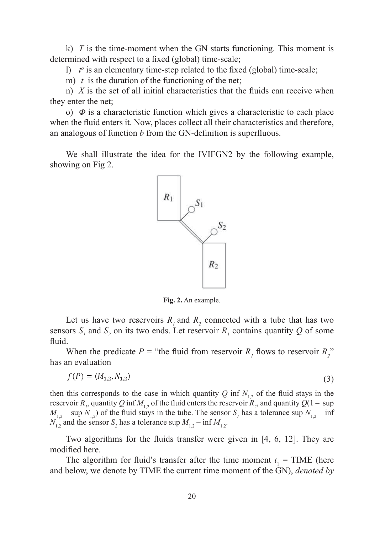k) *T* is the time-moment when the GN starts functioning. This moment is determined with respect to a fixed (global) time-scale;

1)  $t^{\circ}$  is an elementary time-step related to the fixed (global) time-scale;

m) *t* is the duration of the functioning of the net;

n)  $X$  is the set of all initial characteristics that the fluids can receive when they enter the net;

o)  $\Phi$  is a characteristic function which gives a characteristic to each place when the fluid enters it. Now, places collect all their characteristics and therefore, an analogous of function  $b$  from the GN-definition is superfluous.

We shall illustrate the idea for the IVIFGN2 by the following example, showing on Fig 2.



**Fig. 2.** An example.

Let us have two reservoirs  $R_1$  and  $R_2$  connected with a tube that has two sensors  $S_i$  and  $S_2$  on its two ends. Let reservoir  $R_i$  contains quantity  $Q$  of some fluid.

When the predicate  $P =$  "the fluid from reservoir  $R_1$  flows to reservoir  $R_2$ " has an evaluation

$$
f(P) = \langle M_{1,2}, N_{1,2} \rangle \tag{3}
$$

then this corresponds to the case in which quantity  $Q$  inf  $N<sub>1</sub>$ , of the fluid stays in the reservoir  $R_p$ , quantity  $Q$  inf  $M_{1,2}$  of the fluid enters the reservoir  $R_p$ , and quantity  $Q(1 - \sup$  $M_{1,2}$  – sup  $N_{1,2}$ ) of the fluid stays in the tube. The sensor  $S_1$  has a tolerance sup  $N_{1,2}$  – inf  $N_{1,2}$  and the sensor  $S_2$  has a tolerance sup  $M_{1,2}$  – inf  $M_{1,2}$ .

Two algorithms for the fluids transfer were given in  $[4, 6, 12]$ . They are modified here.

The algorithm for fluid's transfer after the time moment  $t_1$  = TIME (here and below, we denote by TIME the current time moment of the GN), *denoted by*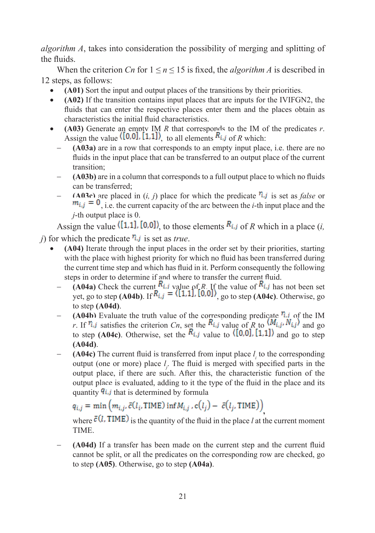*algorithm A*, takes into consideration the possibility of merging and splitting of the fluids.

When the criterion *Cn* for  $1 \le n \le 15$  is fixed, the *algorithm A* is described in 12 steps, as follows:

- **(A01)** Sort the input and output places of the transitions by their priorities.
- **(A02)** If the transition contains input places that are inputs for the IVIFGN2, the fluids that can enter the respective places enter them and the places obtain as characteristics the initial fluid characteristics.
- **(A03)** Generate an empty IM *R* that corresponds to the IM of the predicates *r*. Assign the value  $([0,0], [1,1])$  to all elements  $R_{i,j}$  of R which:
	- **(A03a)** are in a row that corresponds to an empty input place, i.e. there are no fluids in the input place that can be transferred to an output place of the current transition;
	- **(A03b)** are in a column that corresponds to a full output place to which no fluids can be transferred;
	- **(A03c)** are placed in  $(i, j)$  place for which the predicate  $\hat{\mathbf{r}}$  is set as *false* or  $m_{i,j} = 0$ , i.e. the current capacity of the arc between the *i*-th input place and the *j*-th output place is 0.

Assign the value  $\langle [1,1], [0,0] \rangle$  to those elements  $R_{i,j}$  of R which in a place (*i*, *j*) for which the predicate  $\mathbf{r}_i$  *j* is set as *true*.

- **(A04)** Iterate through the input places in the order set by their priorities, starting with the place with highest priority for which no fluid has been transferred during the current time step and which has fluid in it. Perform consequently the following steps in order to determine if and where to transfer the current fluid.
	- **(A04a)** Check the current  $\mathbf{R}_{i,j}$  value of *R*. If the value of  $\mathbf{R}_{i,j}$  has not been set yet, go to step  $(A04b)$ . If  $\mathbb{R}[i,j] = \{1,1,1,1,0,01\}$ , go to step  $(A04c)$ . Otherwise, go to step **(A04d)**.
	- **(A04b)** Evaluate the truth value of the corresponding predicate  $\hat{\mathbf{r}}$ , i of the IM *r*. If  $\eta_{i,j}$  satisfies the criterion *Cn*, set the  $R_{i,j}$  value of *R* to  $(M_{i,j}, N_{i,j})$  and go to step **(A04c)**. Otherwise, set the  $R_{i,j}$  value to  $(0,0)$ , [1,1]) and go to step **(A04d)**.
	- **(A04c)** The current fluid is transferred from input place  $l_i$  to the corresponding output (one or more) place  $l_j$ . The fluid is merged with specified parts in the output place, if there are such. After this, the characteristic function of the output place is evaluated, adding to it the type of the fluid in the place and its quantity  $q_{i,j}$  that is determined by formula

 $q_{i,j} = \min \left( m_{i,j}, \bar{c}(l_i, \text{TIME}) \inf M_{i,j}, c(l_j) - \bar{c}(l_j, \text{TIME}) \right)$ 

where  $\bar{\epsilon}$  (*l*, TIME) is the quantity of the fluid in the place *l* at the current moment TIME.

**(A04d)** If a transfer has been made on the current step and the current fluid cannot be split, or all the predicates on the corresponding row are checked, go to step **(A05)**. Otherwise, go to step **(A04a)**.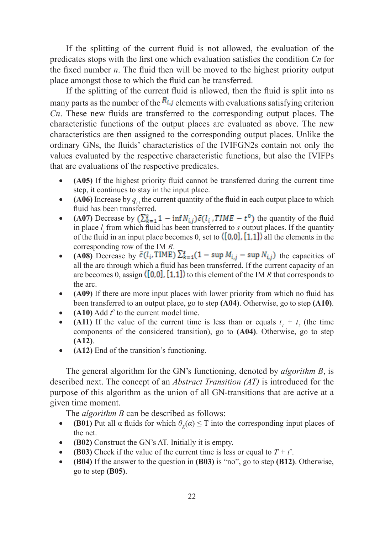If the splitting of the current fluid is not allowed, the evaluation of the predicates stops with the first one which evaluation satisfies the condition *Cn* for the fixed number  $n$ . The fluid then will be moved to the highest priority output place amongst those to which the fluid can be transferred.

If the splitting of the current fluid is allowed, then the fluid is split into as many parts as the number of the  $R_{i,j}$  elements with evaluations satisfying criterion *Cn*. These new fluids are transferred to the corresponding output places. The characteristic functions of the output places are evaluated as above. The new characteristics are then assigned to the corresponding output places. Unlike the ordinary GNs, the fluids' characteristics of the IVIFGN2s contain not only the values evaluated by the respective characteristic functions, but also the IVIFPs that are evaluations of the respective predicates.

- **(A05)** If the highest priority fluid cannot be transferred during the current time step, it continues to stay in the input place.
- **(A06)** Increase by  $q_{ij}$  the current quantity of the fluid in each output place to which fluid has been transferred.
- **(A07)** Decrease by  $(\sum_{k=1}^{s} 1 \inf N_{i,j}) \bar{c}(l_i, TIME t^0)$  the quantity of the fluid in place  $l_i$  from which fluid has been transferred to  $s$  output places. If the quantity of the fluid in an input place becomes 0, set to  $([0,0], [1,1])$  all the elements in the corresponding row of the IM *R*.
- **(A08)** Decrease by  $\bar{c}(l_i, \text{TIME}) \sum_{k=1}^{g} (1 \sup M_{i,j} \sup N_{i,j})$  the capacities of all the arc through which a fluid has been transferred. If the current capacity of an arc becomes 0, assign  $([0,0], [1,1])$  to this element of the IM *R* that corresponds to the arc.
- **(A09)** If there are more input places with lower priority from which no fluid has been transferred to an output place, go to step **(A04)**. Otherwise, go to step **(A10)**.
- **(A10)** Add  $t^0$  to the current model time.
- **(A11)** If the value of the current time is less than or equals  $t_1 + t_2$  (the time components of the considered transition), go to **(A04)**. Otherwise, go to step **(A12)**.
- **(A12)** End of the transition's functioning.

The general algorithm for the GN's functioning, denoted by *algorithm B*, is described next. The concept of an *Abstract Transition (AT)* is introduced for the purpose of this algorithm as the union of all GN-transitions that are active at a given time moment.

The *algorithm B* can be described as follows:

- **(B01)** Put all  $\alpha$  fluids for which  $\theta_k(\alpha) \leq T$  into the corresponding input places of the net.
- **(B02)** Construct the GN's AT. Initially it is empty.
- **(B03)** Check if the value of the current time is less or equal to  $T + t^*$ .
- **(B04)** If the answer to the question in **(B03)** is "no", go to step **(B12)**. Otherwise, go to step **(B05)**.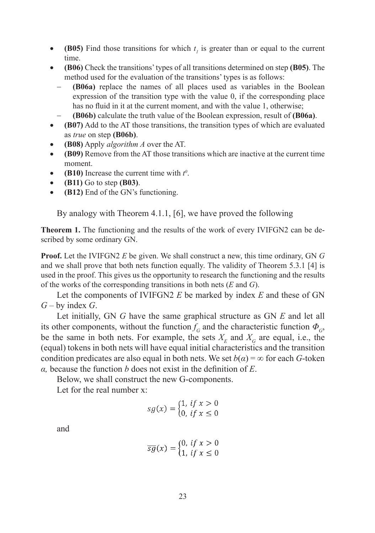- **(B05)** Find those transitions for which  $t<sub>l</sub>$  is greater than or equal to the current time.
- **(B06)** Check the transitions' types of all transitions determined on step **(B05)**. The method used for the evaluation of the transitions' types is as follows:
	- **(B06a)** replace the names of all places used as variables in the Boolean expression of the transition type with the value 0, if the corresponding place has no fluid in it at the current moment, and with the value 1, otherwise;
	- **(B06b)** calculate the truth value of the Boolean expression, result of **(B06a)**.
- **(B07)** Add to the AT those transitions, the transition types of which are evaluated as *true* on step **(B06b)**.
- **(B08)** Apply *algorithm A* over the AT.
- **(B09)** Remove from the AT those transitions which are inactive at the current time moment.
- **(B10)** Increase the current time with  $t^0$ .
- **(B11)** Go to step **(B03)**.
- **(B12)** End of the GN's functioning.

By analogy with Theorem 4.1.1, [6], we have proved the following

**Theorem 1.** The functioning and the results of the work of every IVIFGN2 can be described by some ordinary GN.

**Proof.** Let the IVIFGN2 *E* be given. We shall construct a new, this time ordinary, GN *G* and we shall prove that both nets function equally. Тhe validity of Theorem 5.3.1 [4] is used in the proof. This gives us the opportunity to research the functioning and the results of the works of the corresponding transitions in both nets (*E* and *G*).

Let the components of IVIFGN2 *E* be marked by index *E* and these of GN *G* – by index *G*.

Let initially, GN *G* have the same graphical structure as GN *E* and let all its other components, without the function  $f<sub>G</sub>$  and the characteristic function  $\Phi<sub>G</sub>$ , be the same in both nets. For example, the sets  $X<sub>F</sub>$  and  $X<sub>G</sub>$  are equal, i.e., the (equal) tokens in both nets will have equal initial characteristics and the transition condition predicates are also equal in both nets. We set  $b(\alpha) = \infty$  for each *G*-token  $\alpha$ , because the function  $b$  does not exist in the definition of  $E$ .

Below, we shall construct the new G-components.

Let for the real number x<sup>-</sup>

$$
sg(x) = \begin{cases} 1, & \text{if } x > 0 \\ 0, & \text{if } x \le 0 \end{cases}
$$

and

$$
\overline{sg}(x) = \begin{cases} 0, & \text{if } x > 0 \\ 1, & \text{if } x \le 0 \end{cases}
$$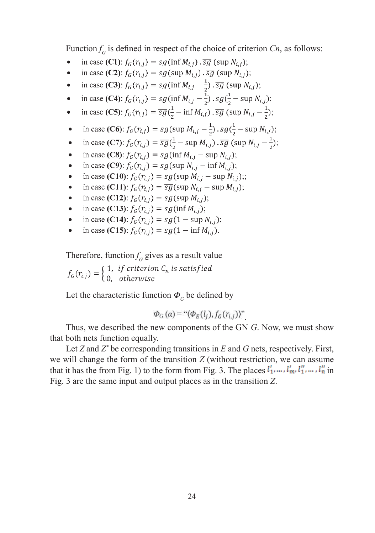Function  $f_G$  is defined in respect of the choice of criterion  $Cn$ , as follows:

- in case (C1):  $f_G(r_{i,i}) = sg(\inf M_{i,i}) \cdot \overline{sg}(\sup N_{i,i});$  $\bullet$
- in case (C2):  $f_G(r_{i,i}) = sg(\sup M_{i,i}) \cdot \overline{sg}(\sup N_{i,i});$  $\bullet$
- in case (C3):  $f_G(r_{i,j}) = sg(\inf M_{i,j} \frac{1}{2}) \cdot \overline{sg}(\sup N_{i,j});$  $\bullet$
- in case (C4):  $f_G(r_{i,j}) = sg(\inf M_{i,j} \frac{1}{2})$ .  $sg(\frac{1}{2} \sup N_{i,j})$ ;  $\bullet$
- in case (C5):  $f_G(r_{i,j}) = \overline{sg}(\frac{1}{2} \inf M_{i,j}) \cdot \overline{sg}$  (sup  $N_{i,j} \frac{1}{2}$ );  $\bullet$
- in case (C6):  $f_G(r_{i,j}) = sg(\sup M_{i,j} \frac{1}{2}) \cdot sg(\frac{1}{2} \sup N_{i,j});$  $\bullet$
- in case (C7):  $f_G(r_{i,j}) = \overline{sg}(\frac{1}{2} \sup M_{i,j}) \cdot \overline{sg}$  (sup  $N_{i,j} \frac{1}{2}$ );  $\bullet$
- in case (C8):  $f_G(r_{i,j}) = sg(\inf M_{i,j} \sup N_{i,j});$  $\bullet$
- in case (C9):  $f_G(r_{i,i}) = \overline{sg}(\text{sup } N_{i,i} \text{inf } M_{i,i});$  $\bullet$
- in case (C10):  $f_G(r_{i,j}) = sg(\sup M_{i,j} \sup N_{i,j});$  $\bullet$
- in case (C11):  $f_G(r_{i,j}) = \overline{sg}(\text{sup } N_{i,j} \text{sup } M_{i,j});$  $\bullet$
- in case (C12):  $f_G(r_{i,j}) = sg(\sup M_{i,j});$  $\bullet$
- in case (C13):  $f_G(r_{i,j}) = sg(\inf M_{i,j});$  $\bullet$
- in case (C14):  $f_G(r_{i,j}) = sg(1 \sup N_{i,j});$  $\bullet$
- in case (C15):  $f_G(r_{i,j}) = sg(1 \inf M_{i,j}).$  $\bullet$

Therefore, function  $f_G$  gives as a result value

Let the characteristic function  $\Phi$ <sup>*G*</sup> be defined by

$$
\Phi_G(\alpha) = \sqrt[\alpha]{\Phi_E(l_j), f_G(r_{i,j})}.
$$

Thus, we described the new components of the GN *G*. Now, we must show that both nets function equally.

Let *Z* and *Z\** be corresponding transitions in *E* and *G* nets, respectively. First, we will change the form of the transition *Z* (without restriction, we can assume that it has the from Fig. 1) to the form from Fig. 3. The places  $l'_1, \ldots, l'_m, l''_1, \ldots, l''_n$  in Fig. 3 are the same input and output places as in the transition *Z*.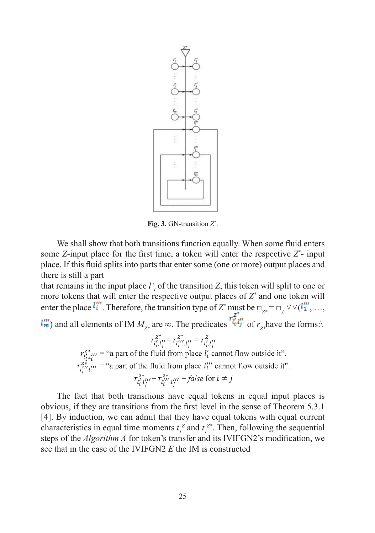

**Fig. 3.** GN-transition *Z\** .

We shall show that both transitions function equally. When some fluid enters some  $Z$ -input place for the first time, a token will enter the respective  $Z^*$ - input place. If this fluid splits into parts that enter some (one or more) output places and there is still a part

that remains in the input place  $l'_{i}$  of the transition  $Z$ , this token will split to one or more tokens that will enter the respective output places of *Z\** and one token will enter the place  $\mathbf{Q} = \mathbf{Q} \times \mathbf{Q}$ . Therefore, the transition type of  $Z^*$  must be  $\Box_{Z^*} = \Box_Z \vee \vee (\mathbf{Q}_1^*$ , ...,

) and all elements of IM  $M_{Z^*}$  are  $\infty$ . The predicates  $\frac{F_i F_j}{\sigma}$  of  $r_{Z^*}$ have the forms:\

 $r_{l'_{i},l''_{i}}^{z*} = r_{l''_{i},l''_{i}}^{z*} = false$  for  $i \neq j$ 

The fact that both transitions have equal tokens in equal input places is obvious, if they are transitions from the first level in the sense of Theorem 5.3.1 [4]. By induction, we can admit that they have equal tokens with equal current characteristics in equal time moments  $t_i^z$  and  $t_i^{z*}$ . Then, following the sequential steps of the *Algorithm A* for token's transfer and its IVIFGN2's modification, we see that in the case of the IVIFGN2 *E* the IM is constructed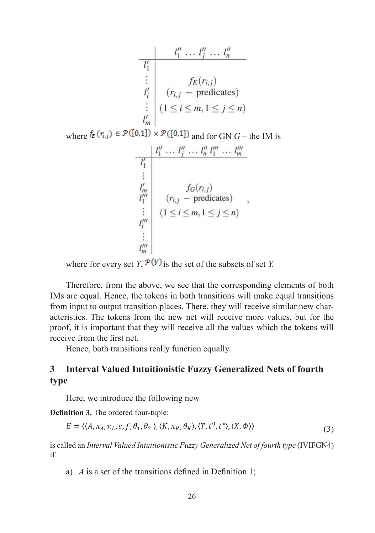| $l''_1 \ldots l''_j \ldots l''_n$ |                                      |
|-----------------------------------|--------------------------------------|
| $l'_i$                            | $f_E(r_{i,j})$                       |
| $l'_i$                            | $(r_{i,j} - \text{predicates})$      |
| $l'_m$                            | $(1 \leq i \leq m, 1 \leq j \leq n)$ |

where  $f_{\bar{\epsilon}}(\eta_{i,j}) \in \mathcal{P}([0,1]) \times \mathcal{P}([0,1])$  and for GN  $G$  – the IM is

$$
\begin{array}{c}\n\mid l_1'' \dots l_j'' \dots l_n'' l_1''' \dots l_m''' \\
\hline\nl_1' \\
\vdots \\
l_m'' \\
l_1''' \\
l_1''' \\
\vdots \\
l_m''' \\
\hline\n\end{array}\n\quad\n\begin{array}{c}\n\qquad_i, j \dots l_n'' \cdot l_1''' \dots l_m''' \\
\hline\nf_G(r_{i,j}) \\
\vdots \\
\hline\n\end{array}\n\quad\n\begin{array}{c}\n\qquad_j, j \in J \\ \n\end{array}\n\quad\n\begin{array}{c}\n\text{if } j \leq n \text{ if } j \leq n \text{ if } j \leq n \text{ if } j \leq n \text{ if } j \leq n \text{ if } j \leq n \text{ if } j \leq n \text{ if } j \leq n \text{ if } j \leq n \text{ if } j \leq n \text{ if } j \leq n \text{ if } j \leq n \text{ if } j \leq n \text{ if } j \leq n \text{ if } j \leq n \text{ if } j \leq n \text{ if } j \leq n \text{ if } j \leq n \text{ if } j \leq n \text{ if } j \leq n \text{ if } j \leq n \text{ if } j \leq n \text{ if } j \leq n \text{ if } j \leq n \text{ if } j \leq n \text{ if } j \leq n \text{ if } j \leq n \text{ if } j \leq n \text{ if } j \leq n \text{ if } j \leq n \text{ if } j \leq n \text{ if } j \leq n \text{ if } j \leq n \text{ if } j \leq n \text{ if } j \leq n \text{ if } j \leq n \text{ if } j \leq n \text{ if } j \leq n \text{ if } j \leq n \text{ if } j \leq n \text{ if } j \leq n \text{ if } j \leq n \text{ if } j \leq n \text{ if } j \leq n \text{ if } j \leq n \text{ if } j \leq n \text{ if } j \leq n \text{ if } j \leq n \text{ if } j \leq n \text{ if } j \leq n \text{ if } j \leq n \text{ if } j \leq n \text{ if } j \leq n \text{ if } j \leq n \text{ if } j \leq n \text{ if } j \leq n \text{ if } j \leq n \text{ if } j \leq n \
$$

where for every set *Y*,  $\mathcal{P}(Y)$  is the set of the subsets of set *Y*.

Therefore, from the above, we see that the corresponding elements of both IMs are equal. Hence, the tokens in both transitions will make equal transitions from input to output transition places. There, they will receive similar new characteristics. The tokens from the new net will receive more values, but for the proof, it is important that they will receive all the values which the tokens will receive from the first net.

Hence, both transitions really function equally.

## **3 Interval Valued Intuitionistic Fuzzy Generalized Nets of fourth type**

Here, we introduce the following new

**Definition 3.** The ordered four-tuple:

$$
E = \langle \langle A, \pi_A, \pi_L, c, f, \theta_1, \theta_2 \rangle, \langle K, \pi_K, \theta_K \rangle, \langle T, t^0, t^* \rangle, \langle X, \Phi \rangle \rangle
$$
\n(3)

is called an *Interval Valued Intuitionistic Fuzzy Generalized Net of fourth type* (IVIFGN4) if:

a)  $\vec{A}$  is a set of the transitions defined in Definition 1;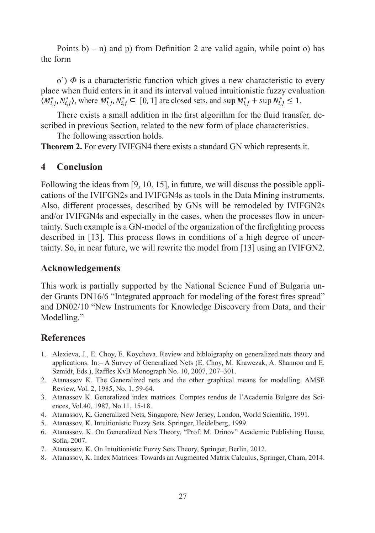Points  $b$ ) – n) and p) from Definition 2 are valid again, while point o) has the form

o')  $\Phi$  is a characteristic function which gives a new characteristic to every place when fluid enters in it and its interval valued intuitionistic fuzzy evaluation  $\langle M_{i,i}^*, N_{i,j}^* \rangle$ , where  $M_{i,i}^*, N_{i,j}^* \subseteq [0, 1]$  are closed sets, and sup  $M_{i,j}^* + \sup N_{i,j}^* \le 1$ .

There exists a small addition in the first algorithm for the fluid transfer, described in previous Section, related to the new form of place characteristics.

The following assertion holds.

**Theorem 2.** For every IVIFGN4 there exists a standard GN which represents it.

## **4 Conclusion**

Following the ideas from [9, 10, 15], in future, we will discuss the possible applications of the IVIFGN2s and IVIFGN4s as tools in the Data Mining instruments. Also, different processes, described by GNs will be remodeled by IVIFGN2s and/or IVIFGN4s and especially in the cases, when the processes flow in uncertainty. Such example is a GN-model of the organization of the firefighting process described in [13]. This process flows in conditions of a high degree of uncertainty. So, in near future, we will rewrite the model from [13] using an IVIFGN2.

### **Acknowledgements**

This work is partially supported by the National Science Fund of Bulgaria under Grants DN16/6 "Integrated approach for modeling of the forest fires spread" and DN02/10 "New Instruments for Knowledge Discovery from Data, and their Modelling."

## **References**

- 1. Alexieva, J., E. Choy, E. Koycheva. Review and bibloigraphy on generalized nets theory and applications. In:– A Survey of Generalized Nets (E. Choy, M. Krawczak, A. Shannon and E. Szmidt, Eds.), Raffles KvB Monograph No. 10, 2007, 207-301.
- 2. Atanassov K. The Generalized nets and the other graphical means for modelling. AMSE Review, Vol. 2, 1985, No. 1, 59-64.
- 3. Atanassov K. Generalized index matrices. Comptes rendus de l'Academie Bulgare des Sciences, Vol.40, 1987, No.11, 15-18.
- 4. Atanassov, K. Generalized Nets, Singapore, New Jersey, London, World Scientific, 1991.
- 5. Atanassov, K. Intuitionistic Fuzzy Sets. Springer, Heidelberg, 1999.
- 6. Atanassov, K. On Generalized Nets Theory, "Prof. M. Drinov" Academic Publishing House, Sofia, 2007.
- 7. Atanassov, K. On Intuitionistic Fuzzy Sets Theory, Springer, Berlin, 2012.
- 8. Atanassov, K. Index Matrices: Towards an Augmented Matrix Calculus, Springer, Cham, 2014.